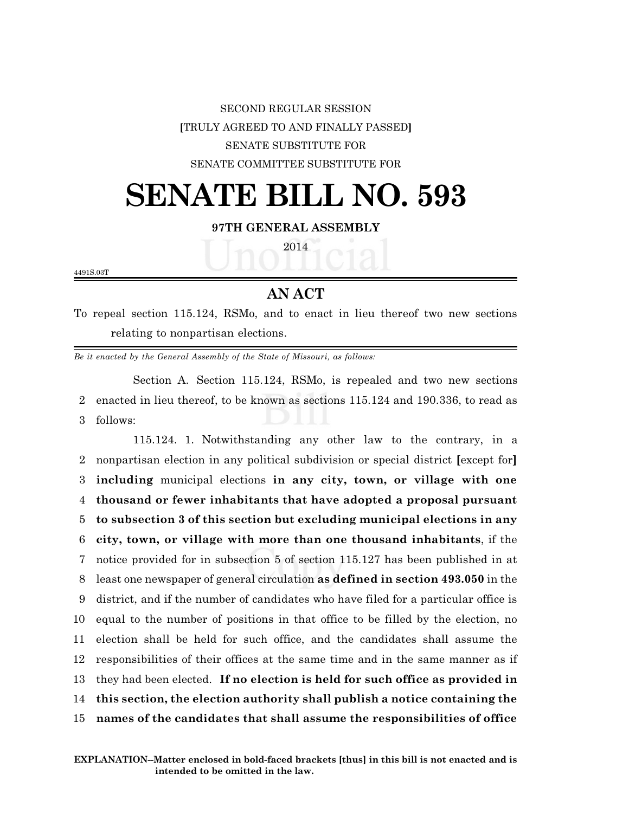SECOND REGULAR SESSION **[**TRULY AGREED TO AND FINALLY PASSED**]** SENATE SUBSTITUTE FOR SENATE COMMITTEE SUBSTITUTE FOR

# **SENATE BILL NO. 593**

### **97TH GENERAL ASSEMBLY**

2014

4491S.03T

## **AN ACT**

To repeal section 115.124, RSMo, and to enact in lieu thereof two new sections relating to nonpartisan elections.

*Be it enacted by the General Assembly of the State of Missouri, as follows:*

Section A. Section 115.124, RSMo, is repealed and two new sections 2 enacted in lieu thereof, to be known as sections 115.124 and 190.336, to read as 3 follows:

115.124. 1. Notwithstanding any other law to the contrary, in a nonpartisan election in any political subdivision or special district **[**except for**] including** municipal elections **in any city, town, or village with one thousand or fewer inhabitants that have adopted a proposal pursuant to subsection 3 of this section but excluding municipal elections in any city, town, or village with more than one thousand inhabitants**, if the notice provided for in subsection 5 of section 115.127 has been published in at least one newspaper of general circulation **as defined in section 493.050** in the district, and if the number of candidates who have filed for a particular office is equal to the number of positions in that office to be filled by the election, no election shall be held for such office, and the candidates shall assume the responsibilities of their offices at the same time and in the same manner as if they had been elected. **If no election is held for such office as provided in this section, the election authority shall publish a notice containing the names of the candidates that shall assume the responsibilities of office**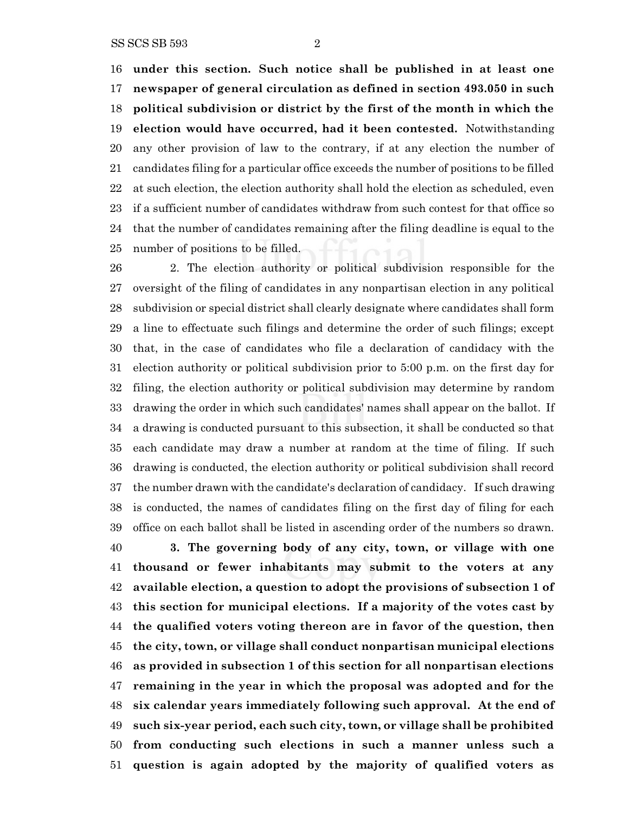**under this section. Such notice shall be published in at least one newspaper of general circulation as defined in section 493.050 in such political subdivision or district by the first of the month in which the election would have occurred, had it been contested.** Notwithstanding any other provision of law to the contrary, if at any election the number of candidates filing for a particular office exceeds the number of positions to be filled at such election, the election authority shall hold the election as scheduled, even if a sufficient number of candidates withdraw from such contest for that office so that the number of candidates remaining after the filing deadline is equal to the number of positions to be filled.

 2. The election authority or political subdivision responsible for the oversight of the filing of candidates in any nonpartisan election in any political subdivision or special district shall clearly designate where candidates shall form a line to effectuate such filings and determine the order of such filings; except that, in the case of candidates who file a declaration of candidacy with the election authority or political subdivision prior to 5:00 p.m. on the first day for filing, the election authority or political subdivision may determine by random drawing the order in which such candidates' names shall appear on the ballot. If a drawing is conducted pursuant to this subsection, it shall be conducted so that each candidate may draw a number at random at the time of filing. If such drawing is conducted, the election authority or political subdivision shall record the number drawn with the candidate's declaration of candidacy. If such drawing is conducted, the names of candidates filing on the first day of filing for each office on each ballot shall be listed in ascending order of the numbers so drawn. **3. The governing body of any city, town, or village with one thousand or fewer inhabitants may submit to the voters at any**

 **available election, a question to adopt the provisions of subsection 1 of this section for municipal elections. If a majority of the votes cast by the qualified voters voting thereon are in favor of the question, then the city, town, or village shall conduct nonpartisan municipal elections as provided in subsection 1 of this section for all nonpartisan elections remaining in the year in which the proposal was adopted and for the six calendar years immediately following such approval. At the end of such six-year period, each such city, town, or village shall be prohibited from conducting such elections in such a manner unless such a question is again adopted by the majority of qualified voters as**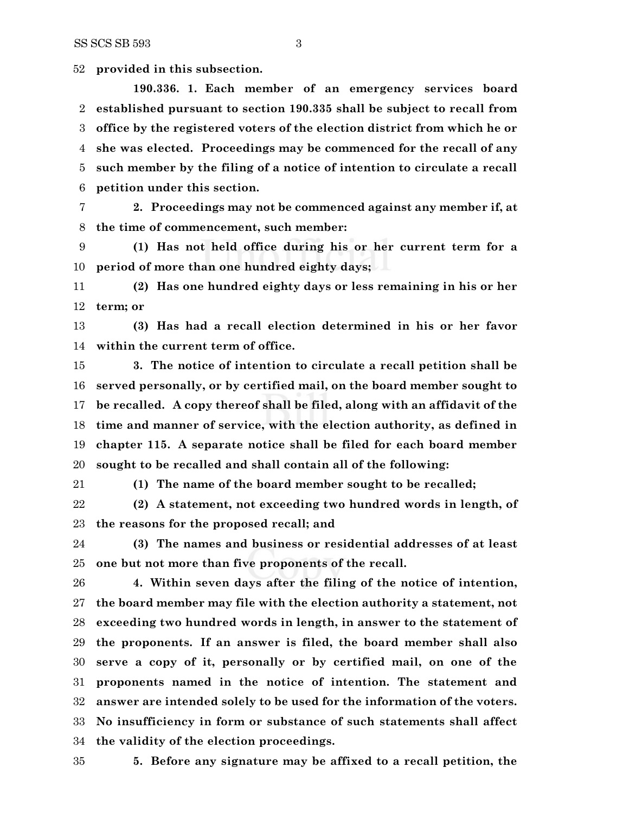**provided in this subsection.**

**190.336. 1. Each member of an emergency services board established pursuant to section 190.335 shall be subject to recall from office by the registered voters of the election district from which he or she was elected. Proceedings may be commenced for the recall of any such member by the filing of a notice of intention to circulate a recall petition under this section.**

 **2. Proceedings may not be commenced against any member if, at the time of commencement, such member:**

 **(1) Has not held office during his or her current term for a period of more than one hundred eighty days;**

 **(2) Has one hundred eighty days or less remaining in his or her term; or**

 **(3) Has had a recall election determined in his or her favor within the current term of office.**

 **3. The notice of intention to circulate a recall petition shall be served personally, or by certified mail, on the board member sought to be recalled. A copy thereof shall be filed, along with an affidavit of the time and manner of service, with the election authority, as defined in chapter 115. A separate notice shall be filed for each board member sought to be recalled and shall contain all of the following:**

**(1) The name of the board member sought to be recalled;**

 **(2) A statement, not exceeding two hundred words in length, of the reasons for the proposed recall; and**

 **(3) The names and business or residential addresses of at least one but not more than five proponents of the recall.**

 **4. Within seven days after the filing of the notice of intention, the board member may file with the election authority a statement, not exceeding two hundred words in length, in answer to the statement of the proponents. If an answer is filed, the board member shall also serve a copy of it, personally or by certified mail, on one of the proponents named in the notice of intention. The statement and answer are intended solely to be used for the information of the voters. No insufficiency in form or substance of such statements shall affect the validity of the election proceedings.**

**5. Before any signature may be affixed to a recall petition, the**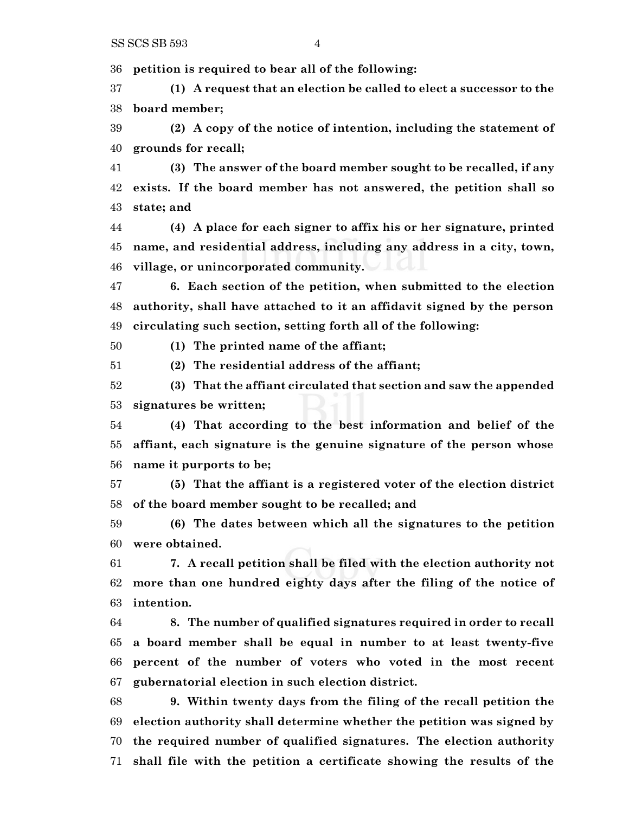**petition is required to bear all of the following:**

 **(1) A request that an election be called to elect a successor to the board member;**

 **(2) A copy of the notice of intention, including the statement of grounds for recall;**

 **(3) The answer of the board member sought to be recalled, if any exists. If the board member has not answered, the petition shall so state; and**

 **(4) A place for each signer to affix his or her signature, printed name, and residential address, including any address in a city, town, village, or unincorporated community.**

 **6. Each section of the petition, when submitted to the election authority, shall have attached to it an affidavit signed by the person circulating such section, setting forth all of the following:**

**(1) The printed name of the affiant;**

**(2) The residential address of the affiant;**

 **(3) That the affiant circulated that section and saw the appended signatures be written;**

 **(4) That according to the best information and belief of the affiant, each signature is the genuine signature of the person whose name it purports to be;**

 **(5) That the affiant is a registered voter of the election district of the board member sought to be recalled; and**

 **(6) The dates between which all the signatures to the petition were obtained.**

 **7. A recall petition shall be filed with the election authority not more than one hundred eighty days after the filing of the notice of intention.**

 **8. The number of qualified signatures required in order to recall a board member shall be equal in number to at least twenty-five percent of the number of voters who voted in the most recent gubernatorial election in such election district.**

 **9. Within twenty days from the filing of the recall petition the election authority shall determine whether the petition was signed by the required number of qualified signatures. The election authority shall file with the petition a certificate showing the results of the**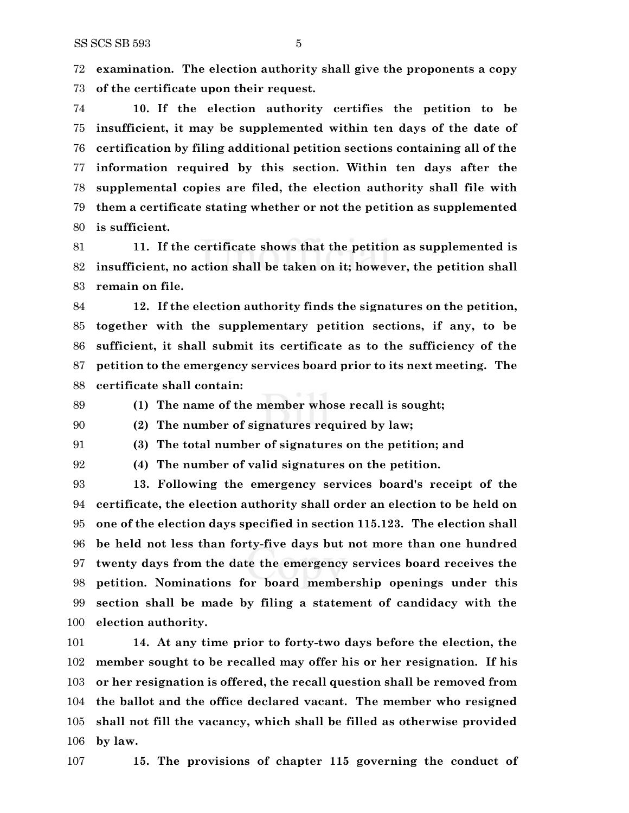**examination. The election authority shall give the proponents a copy of the certificate upon their request.**

 **10. If the election authority certifies the petition to be insufficient, it may be supplemented within ten days of the date of certification by filing additional petition sections containing all of the information required by this section. Within ten days after the supplemental copies are filed, the election authority shall file with them a certificate stating whether or not the petition as supplemented is sufficient.**

 **11. If the certificate shows that the petition as supplemented is insufficient, no action shall be taken on it; however, the petition shall remain on file.**

 **12. If the election authority finds the signatures on the petition, together with the supplementary petition sections, if any, to be sufficient, it shall submit its certificate as to the sufficiency of the petition to the emergency services board prior to its next meeting. The certificate shall contain:**

**(1) The name of the member whose recall is sought;**

**(2) The number of signatures required by law;**

**(3) The total number of signatures on the petition; and**

**(4) The number of valid signatures on the petition.**

 **13. Following the emergency services board's receipt of the certificate, the election authority shall order an election to be held on one of the election days specified in section 115.123. The election shall be held not less than forty-five days but not more than one hundred twenty days from the date the emergency services board receives the petition. Nominations for board membership openings under this section shall be made by filing a statement of candidacy with the election authority.**

 **14. At any time prior to forty-two days before the election, the member sought to be recalled may offer his or her resignation. If his or her resignation is offered, the recall question shall be removed from the ballot and the office declared vacant. The member who resigned shall not fill the vacancy, which shall be filled as otherwise provided by law.**

**15. The provisions of chapter 115 governing the conduct of**